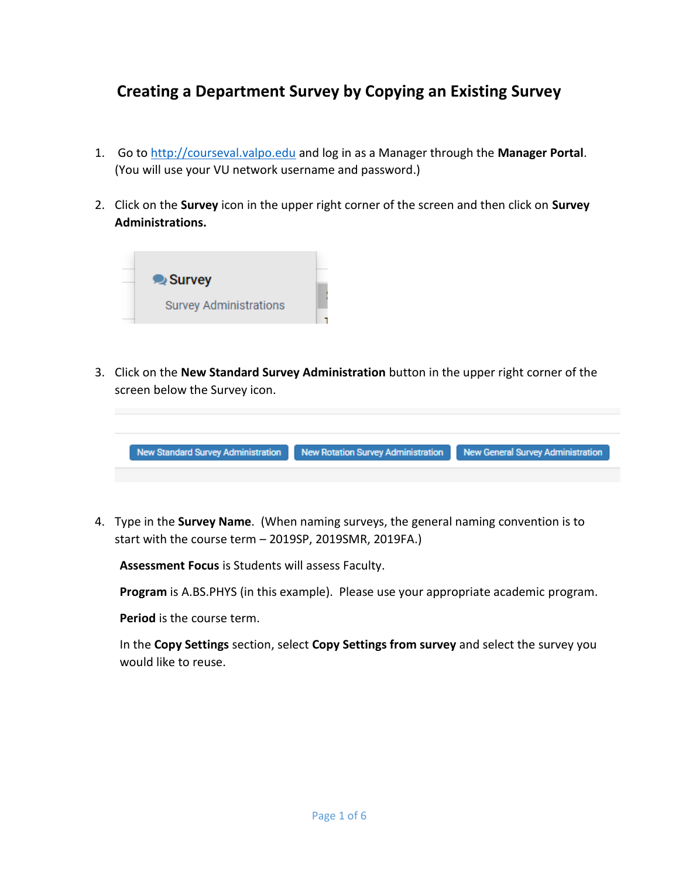## **Creating a Department Survey by Copying an Existing Survey**

- 1. Go to [http://courseval.valpo.edu](http://courseval.valpo.edu/) and log in as a Manager through the **Manager Portal**. (You will use your VU network username and password.)
- 2. Click on the **Survey** icon in the upper right corner of the screen and then click on **Survey Administrations.**



3. Click on the **New Standard Survey Administration** button in the upper right corner of the screen below the Survey icon.



4. Type in the **Survey Name**. (When naming surveys, the general naming convention is to start with the course term – 2019SP, 2019SMR, 2019FA.)

**Assessment Focus** is Students will assess Faculty.

**Program** is A.BS.PHYS (in this example). Please use your appropriate academic program.

**Period** is the course term.

In the **Copy Settings** section, select **Copy Settings from survey** and select the survey you would like to reuse.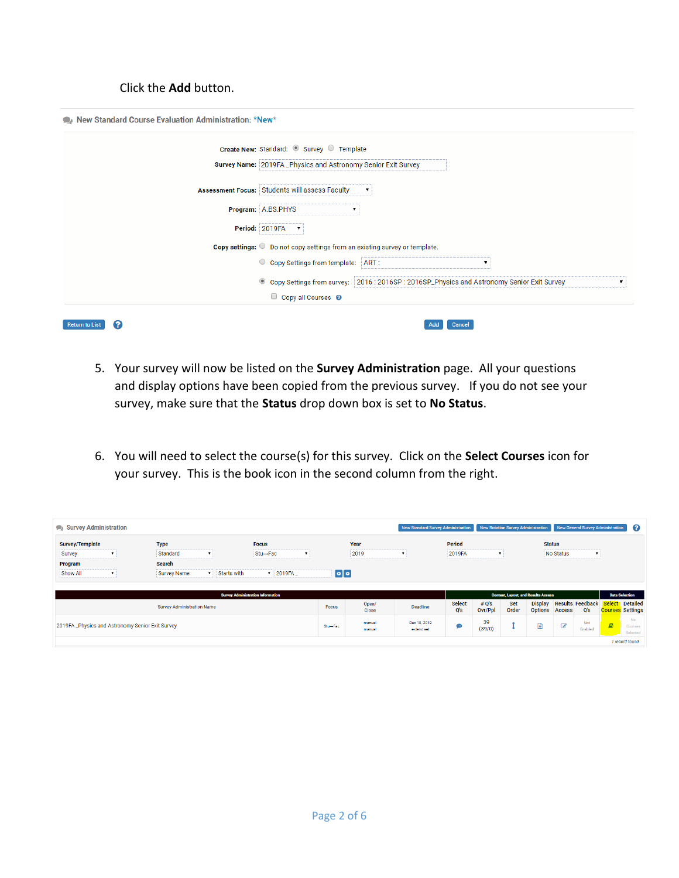## Click the **Add** button.

| Create New: Standard: 8 Survey Template                                                      |   |
|----------------------------------------------------------------------------------------------|---|
| Survey Name: 2019FA_Physics and Astronomy Senior Exit Survey                                 |   |
| Assessment Focus: Students will assess Faculty                                               |   |
| Program: A.BS.PHYS<br>▼                                                                      |   |
| Period: 2019FA<br>$\overline{\mathbf{v}}$                                                    |   |
| Copy settings: O Do not copy settings from an existing survey or template.                   |   |
| C Copy Settings from template: ART:<br>▼                                                     |   |
| © Copy Settings from survey: 2016 : 2016SP : 2016SP_Physics and Astronomy Senior Exit Survey | ▼ |
| $\Box$ Copy all Courses $\odot$                                                              |   |

- 5. Your survey will now be listed on the **Survey Administration** page. All your questions and display options have been copied from the previous survey. If you do not see your survey, make sure that the **Status** drop down box is set to **No Status**.
- 6. You will need to select the course(s) for this survey. Click on the **Select Courses** icon for your survey. This is the book icon in the second column from the right.

| Survey Administration  |                                                  |                    |                                          |                                    |                  | New Standard Survey Administration |                      |                    |              | New Rotation Survey Administration         |               | New General Survey Administration |                                          | ി                         |
|------------------------|--------------------------------------------------|--------------------|------------------------------------------|------------------------------------|------------------|------------------------------------|----------------------|--------------------|--------------|--------------------------------------------|---------------|-----------------------------------|------------------------------------------|---------------------------|
| <b>Survey/Template</b> | <b>Type</b>                                      |                    | <b>Focus</b>                             |                                    | Year             |                                    | <b>Period</b>        |                    |              |                                            | <b>Status</b> |                                   |                                          |                           |
| Survey                 | Standard                                         | ▼                  | Stu→Fac                                  | $\mathbf{v}$                       | 2019             |                                    | 2019FA               | $\pmb{\mathrm{v}}$ |              |                                            | No Status     | $\mathbf{v}$                      |                                          |                           |
| Program                | Search                                           |                    |                                          |                                    |                  |                                    |                      |                    |              |                                            |               |                                   |                                          |                           |
| Show All               | <b>Survey Name</b>                               | <b>Starts with</b> | 2019FA_<br>$\mathbf{v}$                  | $\lceil \circ \rceil \circ \rceil$ |                  |                                    |                      |                    |              |                                            |               |                                   |                                          |                           |
|                        |                                                  |                    | <b>Survey Administration Information</b> |                                    |                  |                                    |                      |                    |              | <b>Content, Layout, and Results Access</b> |               |                                   |                                          | <b>Data Selection</b>     |
|                        | <b>Survey Administration Name</b>                |                    |                                          | <b>Focus</b>                       | Open/<br>Close   | <b>Deadline</b>                    | <b>Select</b><br>Q's | # O's<br>Ovr/Ppl   | Set<br>Order | <b>Display</b><br><b>Options</b>           | <b>Access</b> | <b>Results Feedback</b><br>Q's    | <b>Select</b><br><b>Courses</b> Settings | Detailed                  |
|                        | 2019FA _Physics and Astronomy Senior Exit Survey |                    |                                          | Stu-Fac                            | manual<br>manual | Dec 18, 2019<br>extend set         | $\bullet$            | 39<br>(39/0)       |              | ð                                          | $\mathbb{Z}$  | Not<br>Enabled                    | <b>B</b>                                 | No<br>Courses<br>Selected |
|                        |                                                  |                    |                                          |                                    |                  |                                    |                      |                    |              |                                            |               |                                   |                                          | 1 record found.           |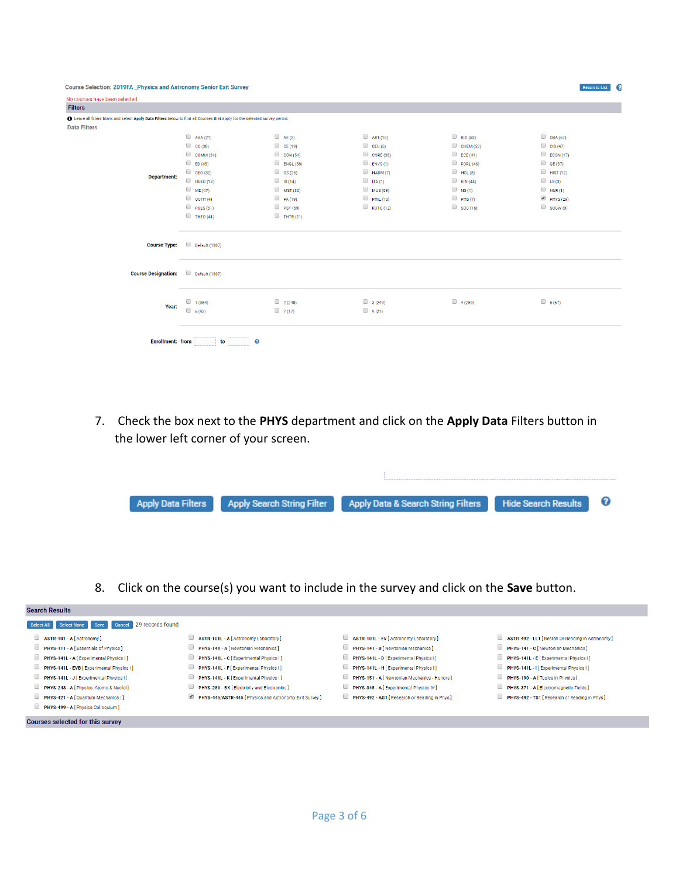| Course Selection: 2019FA _Physics and Astronomy Senior Exit Survey                                                         |                  |                  |                 |                  | <b>Return to List</b> |
|----------------------------------------------------------------------------------------------------------------------------|------------------|------------------|-----------------|------------------|-----------------------|
| No courses have been selected.                                                                                             |                  |                  |                 |                  |                       |
| <b>Filters</b>                                                                                                             |                  |                  |                 |                  |                       |
| Leave all filters blank and select Apply Data Filters below to find all Courses that apply for the selected survey period. |                  |                  |                 |                  |                       |
| <b>Data Filters</b>                                                                                                        |                  |                  |                 |                  |                       |
|                                                                                                                            | AAA(21)          | A E(3)           | $\Box$ ART (15) | $\Box$ BIO (53)  | $\Box$ CBA (67)       |
|                                                                                                                            | $\Box$ CC (38)   | C E (19)         | CEU(5)          | CHEM(53)         | $\Box$ CIS (47)       |
|                                                                                                                            | $\Box$ COMM (34) | $\Box$ CON (54)  | CORE (38)       | $\Box$ ECE (41)  | $\Box$ ECON (17)      |
|                                                                                                                            | $\Box$ ED (45)   | $\Box$ ENGL (38) | $\Box$ ENVS(1)  | $\Box$ FORL (46) | $\Box$ GE (37)        |
|                                                                                                                            | $\Box$ GEO (32)  | $\Box$ GS (26)   | HADM(7)         | HCL(8)           | $\Box$ HIST (12)      |
| <b>Department:</b>                                                                                                         | $\Box$ HUED (12) | $\Box$ IS (14)   | $\Box$ ITA (1)  | $\Box$ KIN (44)  | $\Box$ LS(3)          |
|                                                                                                                            | $M = ME(47)$     | MST (80)         | MUS (89)        | $\Box$ NS(1)     | $\Box$ NUR(1)         |
|                                                                                                                            | $\Box$ OCTH (4)  | $P_A(19)$        | PHL(10)         | PHS(7)           | PHYS(29)              |
|                                                                                                                            | POLS(31)         | PSY (59)         | ROTC (12)       | $\Box$ SOC (16)  | $\Box$ SOCW (9)       |
|                                                                                                                            | $\Box$ THEO (41) | $\Box$ THTR (21) |                 |                  |                       |
| <b>Course Type:</b>                                                                                                        | Default (1307)   |                  |                 |                  |                       |
| <b>Course Designation:</b>                                                                                                 | Default (1307)   |                  |                 |                  |                       |
| Year:                                                                                                                      | 1(354)<br>6(92)  | 2(248)<br>7(17)  | 3(249)<br>9(21) | 4(259)           | 5(67)                 |
| <b>Enrollment: from</b>                                                                                                    | to               | ℯ                |                 |                  |                       |

7. Check the box next to the **PHYS** department and click on the **Apply Data** Filters button in the lower left corner of your screen.

| Apply Data Filters Apply Search String Filter | Apply Data & Search String Filters Hide Search Results ? |  |
|-----------------------------------------------|----------------------------------------------------------|--|
|                                               |                                                          |  |

8. Click on the course(s) you want to include in the survey and click on the **Save** button.

| <b>Search Results</b>                                     |                                                         |                                                    |                                                             |
|-----------------------------------------------------------|---------------------------------------------------------|----------------------------------------------------|-------------------------------------------------------------|
| 29 records found<br>Select All Select None Save<br>Cancel |                                                         |                                                    |                                                             |
| ASTR-101 - A [Astronomy]                                  | u<br>ASTR-101L - A [ Astronomy Laboratory ]             | ASTR-101L - EV [ Astronomy Laboratory ]            | ASTR-492 - LL1 [ Resrch Or Reading in Astronomy ]<br>$\Box$ |
| <b>PHYS-111 - A [Essentials of Physics ]</b>              | U<br>PHYS-141 - A [ Newtonian Mechanics ]               | PHYS-141 - B   Newtonian Mechanics                 | <b>PHYS-141 - C</b> [Newtonian Mechanics]                   |
| <b>PHYS-141L - A [Experimental Physics I]</b>             | u<br>PHYS-141L - C [Experimental Physics I]             | PHYS-141L - D   Experimental Physics   1           | <b>PHYS-141L - E</b> [Experimental Physics   ]              |
| <b>PHYS-141L - EVB</b> [ Experimental Physics I ]         | □<br>PHYS-141L - F [ Experimental Physics I ]           | PHYS-141L - H [Experimental Physics I]             | <b>PHYS-141L - I</b> [ Experimental Physics I ]             |
| PHYS-141L - J [Experimental Physics I]                    | □<br>PHYS-141L - K   Experimental Physics I ]           | <b>PHYS-151 - A [Newtonian Mechanics - Honors]</b> | <b>PHYS-190 - A</b> [ Topics in Physics ]                   |
| <b>PHYS-243 - A [ Physics: Atoms &amp; Nuclei]</b>        | u<br>PHYS-281 - BX   Electricity and Electronics        | PHYS-345 - A [ Experimental Physics IV ]           | PHYS-371 - A [Electromagnetic Fields]                       |
| <b>PHYS-421 - A [ Quantum Mechanics I]</b>                | PHYS-445/ASTR-445   Physics and Astronomy Exit Survey ] | PHYS-492 - AG1 [ Research or Reading in Phys ]     | PHYS-492 - TS1   Research or Reading in Phys  <br>u         |
| PHYS-499 - A [ Physics Colloquium ]                       |                                                         |                                                    |                                                             |
| Courses selected for this survey                          |                                                         |                                                    |                                                             |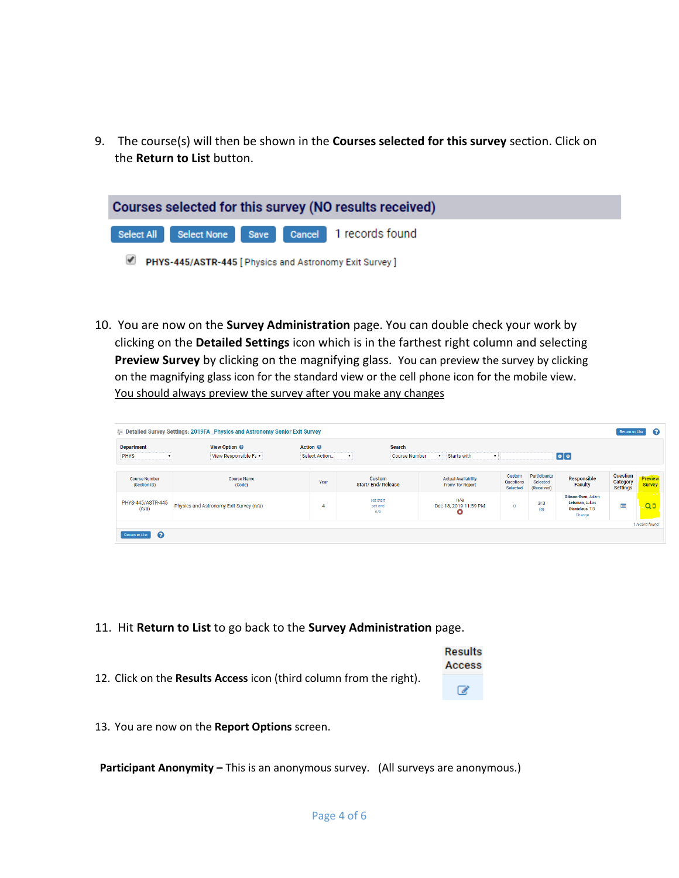9. The course(s) will then be shown in the **Courses selected for this survey** section. Click on the **Return to List** button.

| Courses selected for this survey (NO results received) |                                                         |  |  |                                                    |  |
|--------------------------------------------------------|---------------------------------------------------------|--|--|----------------------------------------------------|--|
|                                                        |                                                         |  |  | Select All Select None Save Cancel 1 records found |  |
|                                                        | PHYS-445/ASTR-445 [ Physics and Astronomy Exit Survey ] |  |  |                                                    |  |

10. You are now on the **Survey Administration** page. You can double check your work by clicking on the **Detailed Settings** icon which is in the farthest right column and selecting **Preview Survey** by clicking on the magnifying glass. You can preview the survey by clicking on the magnifying glass icon for the standard view or the cell phone icon for the mobile view. You should always preview the survey after you make any changes

|                                      | <b>EXECUTE: Detailed Survey Settings: 2019FA _Physics and Astronomy Senior Exit Survey</b> |                     |                                    |               |                                              |                                        |                                        |                                                                   | <b>Return to List</b>                   | Q                        |
|--------------------------------------|--------------------------------------------------------------------------------------------|---------------------|------------------------------------|---------------|----------------------------------------------|----------------------------------------|----------------------------------------|-------------------------------------------------------------------|-----------------------------------------|--------------------------|
| <b>Department</b>                    | View Option @                                                                              | Action <sup>©</sup> |                                    | Search        |                                              |                                        |                                        |                                                                   |                                         |                          |
| <b>PHYS</b>                          | View Responsible Fa v                                                                      | Select Action       | $\mathbf{v}$                       | Course Number | v Starts with                                |                                        |                                        | $\lceil \circ \rceil \circ \rceil$                                |                                         |                          |
| <b>Course Number</b><br>(Section ID) | <b>Course Name</b><br>(Code)                                                               | Year                | Custom<br><b>Start/End/Release</b> |               | <b>Actual Availability</b><br>From/To/Report | Custom<br><b>Questions</b><br>Selected | Participants<br>Selected<br>(Received) | Responsible<br>Faculty                                            | Question<br>Category<br><b>Settings</b> | Preview<br><b>Survey</b> |
| PHYS-445/ASTR-445<br>(n/a)           | Physics and Astronomy Exit Survey (n/a)                                                    | 4                   | set start<br>set end<br>n/a        |               | n/a<br>Dec 18, 2019 11:59 PM<br>ø            | $\Omega$                               | 3/3<br>(0)                             | Gibson-Even, Adam<br>Leisman, Lukas<br>Stanislaus, T.D.<br>Change | E                                       | Q <sub>0</sub>           |
|                                      |                                                                                            |                     |                                    |               |                                              |                                        |                                        |                                                                   |                                         | 1 record found.          |
| . വ<br><b>Return to List</b>         |                                                                                            |                     |                                    |               |                                              |                                        |                                        |                                                                   |                                         |                          |

- 11. Hit **Return to List** to go back to the **Survey Administration** page.
- 12. Click on the **Results Access** icon (third column from the right).
- **Results** Access  $\overline{\mathscr{L}}$

13. You are now on the **Report Options** screen.

**Participant Anonymity –** This is an anonymous survey. (All surveys are anonymous.)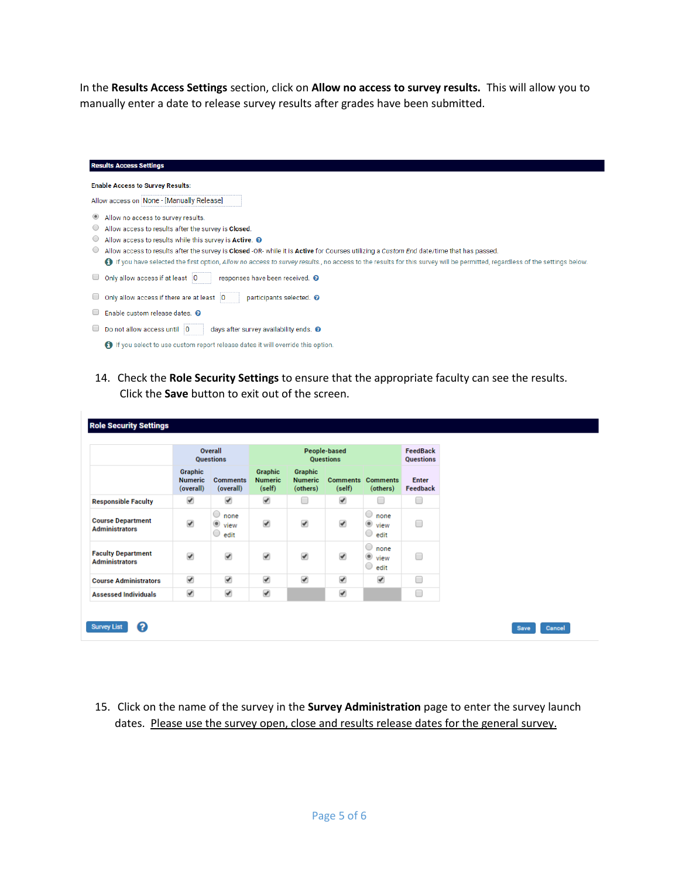In the **Results Access Settings** section, click on **Allow no access to survey results.** This will allow you to manually enter a date to release survey results after grades have been submitted.

| <b>Results Access Settings</b>                                                                                                                                              |
|-----------------------------------------------------------------------------------------------------------------------------------------------------------------------------|
| <b>Enable Access to Survey Results:</b>                                                                                                                                     |
| Allow access on None - [Manually Release]                                                                                                                                   |
| Allow no access to survey results.<br>۰                                                                                                                                     |
| Allow access to results after the survey is Closed.<br>$\cup$                                                                                                               |
| Allow access to results while this survey is Active. @<br>$\circ$                                                                                                           |
| Allow access to results after the survey is Closed -OR-while it is Active for Courses utilizing a Custom End date/time that has passed.                                     |
| 19 If you have selected the first option, Allow no access to survey results., no access to the results for this survey will be permitted, regardless of the settings below. |
| Only allow access if at least 0<br>responses have been received. <sup>O</sup>                                                                                               |
| Only allow access if there are at least 0<br>participants selected. <sup>O</sup>                                                                                            |
| Enable custom release dates. @                                                                                                                                              |
| Do not allow access until 0<br>days after survey availability ends. <sup>O</sup>                                                                                            |
| <b>6</b> If you select to use custom report release dates it will override this option.                                                                                     |

14. Check the **Role Security Settings** to ensure that the appropriate faculty can see the results. Click the **Save** button to exit out of the screen.

|                                                    |                                               | Overall<br><b>Questions</b>                     | <b>People-based</b><br><b>Questions</b>    |                                              |                           | <b>FeedBack</b><br>Questions                                  |                          |
|----------------------------------------------------|-----------------------------------------------|-------------------------------------------------|--------------------------------------------|----------------------------------------------|---------------------------|---------------------------------------------------------------|--------------------------|
|                                                    | <b>Graphic</b><br><b>Numeric</b><br>(overall) | <b>Comments</b><br>(overall)                    | <b>Graphic</b><br><b>Numeric</b><br>(self) | <b>Graphic</b><br><b>Numeric</b><br>(others) | <b>Comments</b><br>(self) | <b>Comments</b><br>(others)                                   | <b>Enter</b><br>Feedback |
| <b>Responsible Faculty</b>                         | ✔                                             | ✔                                               | $\blacktriangledown$                       | $\Box$                                       | ✔                         | O                                                             | □                        |
| <b>Course Department</b><br><b>Administrators</b>  | $\overline{\mathcal{L}}$                      | $\circ$<br>none<br>۰<br>view<br>$\circ$<br>edit | ✔                                          | ✔                                            | $\overline{\mathscr{C}}$  | $\circ$<br>none<br>$^\circlede$<br>view<br>$\circ$<br>edit    | □                        |
| <b>Faculty Department</b><br><b>Administrators</b> | $\overline{\mathcal{L}}$                      | $\blacktriangledown$                            | $\blacktriangledown$                       | ✔                                            | ✔                         | $\circ$<br>none<br>$^\circledR$<br>view<br>$\bigcirc$<br>edit | 0                        |
| <b>Course Administrators</b>                       | $\blacktriangledown$                          | $\blacktriangledown$                            | $\overline{\mathcal{L}}$                   | ✔                                            | ✔                         | $\blacktriangledown$                                          | □                        |
| <b>Assessed Individuals</b>                        | ✔                                             | ✔                                               | $\blacktriangledown$                       |                                              | ✔                         |                                                               | 0                        |

15. Click on the name of the survey in the **Survey Administration** page to enter the survey launch dates. Please use the survey open, close and results release dates for the general survey.